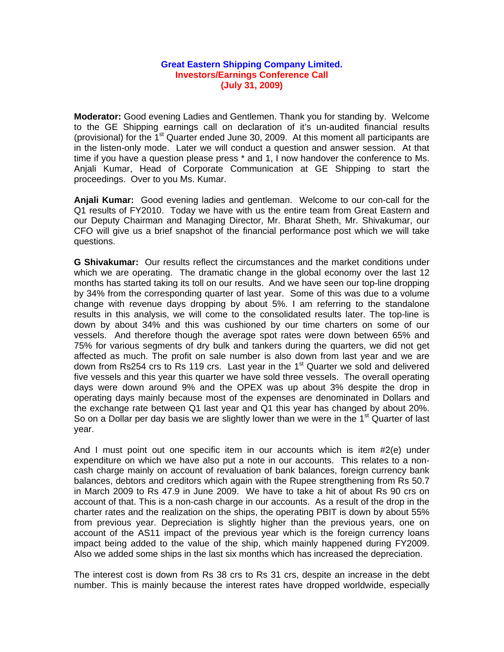## **Great Eastern Shipping Company Limited. Investors/Earnings Conference Call (July 31, 2009)**

**Moderator:** Good evening Ladies and Gentlemen. Thank you for standing by. Welcome to the GE Shipping earnings call on declaration of it's un-audited financial results (provisional) for the 1<sup>st</sup> Quarter ended June 30, 2009. At this moment all participants are in the listen-only mode. Later we will conduct a question and answer session. At that time if you have a question please press \* and 1, I now handover the conference to Ms. Anjali Kumar, Head of Corporate Communication at GE Shipping to start the proceedings. Over to you Ms. Kumar.

**Anjali Kumar:** Good evening ladies and gentleman. Welcome to our con-call for the Q1 results of FY2010. Today we have with us the entire team from Great Eastern and our Deputy Chairman and Managing Director, Mr. Bharat Sheth, Mr. Shivakumar, our CFO will give us a brief snapshot of the financial performance post which we will take questions.

**G Shivakumar:** Our results reflect the circumstances and the market conditions under which we are operating. The dramatic change in the global economy over the last 12 months has started taking its toll on our results. And we have seen our top-line dropping by 34% from the corresponding quarter of last year. Some of this was due to a volume change with revenue days dropping by about 5%. I am referring to the standalone results in this analysis, we will come to the consolidated results later. The top-line is down by about 34% and this was cushioned by our time charters on some of our vessels. And therefore though the average spot rates were down between 65% and 75% for various segments of dry bulk and tankers during the quarters, we did not get affected as much. The profit on sale number is also down from last year and we are down from Rs254 crs to Rs 119 crs. Last year in the  $1<sup>st</sup>$  Quarter we sold and delivered five vessels and this year this quarter we have sold three vessels. The overall operating days were down around 9% and the OPEX was up about 3% despite the drop in operating days mainly because most of the expenses are denominated in Dollars and the exchange rate between Q1 last year and Q1 this year has changed by about 20%. So on a Dollar per day basis we are slightly lower than we were in the 1<sup>st</sup> Quarter of last year.

And I must point out one specific item in our accounts which is item #2(e) under expenditure on which we have also put a note in our accounts. This relates to a noncash charge mainly on account of revaluation of bank balances, foreign currency bank balances, debtors and creditors which again with the Rupee strengthening from Rs 50.7 in March 2009 to Rs 47.9 in June 2009. We have to take a hit of about Rs 90 crs on account of that. This is a non-cash charge in our accounts. As a result of the drop in the charter rates and the realization on the ships, the operating PBIT is down by about 55% from previous year. Depreciation is slightly higher than the previous years, one on account of the AS11 impact of the previous year which is the foreign currency loans impact being added to the value of the ship, which mainly happened during FY2009. Also we added some ships in the last six months which has increased the depreciation.

The interest cost is down from Rs 38 crs to Rs 31 crs, despite an increase in the debt number. This is mainly because the interest rates have dropped worldwide, especially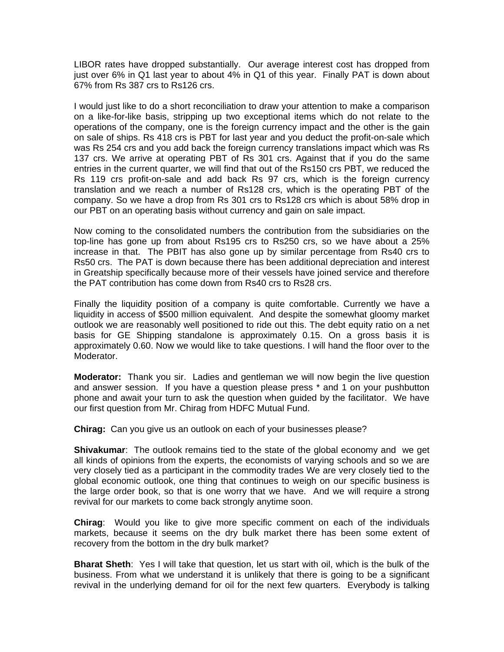LIBOR rates have dropped substantially. Our average interest cost has dropped from just over 6% in Q1 last year to about 4% in Q1 of this year. Finally PAT is down about 67% from Rs 387 crs to Rs126 crs.

I would just like to do a short reconciliation to draw your attention to make a comparison on a like-for-like basis, stripping up two exceptional items which do not relate to the operations of the company, one is the foreign currency impact and the other is the gain on sale of ships. Rs 418 crs is PBT for last year and you deduct the profit-on-sale which was Rs 254 crs and you add back the foreign currency translations impact which was Rs 137 crs. We arrive at operating PBT of Rs 301 crs. Against that if you do the same entries in the current quarter, we will find that out of the Rs150 crs PBT, we reduced the Rs 119 crs profit-on-sale and add back Rs 97 crs, which is the foreign currency translation and we reach a number of Rs128 crs, which is the operating PBT of the company. So we have a drop from Rs 301 crs to Rs128 crs which is about 58% drop in our PBT on an operating basis without currency and gain on sale impact.

Now coming to the consolidated numbers the contribution from the subsidiaries on the top-line has gone up from about Rs195 crs to Rs250 crs, so we have about a 25% increase in that. The PBIT has also gone up by similar percentage from Rs40 crs to Rs50 crs. The PAT is down because there has been additional depreciation and interest in Greatship specifically because more of their vessels have joined service and therefore the PAT contribution has come down from Rs40 crs to Rs28 crs.

Finally the liquidity position of a company is quite comfortable. Currently we have a liquidity in access of \$500 million equivalent. And despite the somewhat gloomy market outlook we are reasonably well positioned to ride out this. The debt equity ratio on a net basis for GE Shipping standalone is approximately 0.15. On a gross basis it is approximately 0.60. Now we would like to take questions. I will hand the floor over to the Moderator.

**Moderator:** Thank you sir. Ladies and gentleman we will now begin the live question and answer session. If you have a question please press \* and 1 on your pushbutton phone and await your turn to ask the question when guided by the facilitator. We have our first question from Mr. Chirag from HDFC Mutual Fund.

**Chirag:** Can you give us an outlook on each of your businesses please?

**Shivakumar**: The outlook remains tied to the state of the global economy and we get all kinds of opinions from the experts, the economists of varying schools and so we are very closely tied as a participant in the commodity trades We are very closely tied to the global economic outlook, one thing that continues to weigh on our specific business is the large order book, so that is one worry that we have. And we will require a strong revival for our markets to come back strongly anytime soon.

**Chirag**: Would you like to give more specific comment on each of the individuals markets, because it seems on the dry bulk market there has been some extent of recovery from the bottom in the dry bulk market?

**Bharat Sheth**: Yes I will take that question, let us start with oil, which is the bulk of the business. From what we understand it is unlikely that there is going to be a significant revival in the underlying demand for oil for the next few quarters. Everybody is talking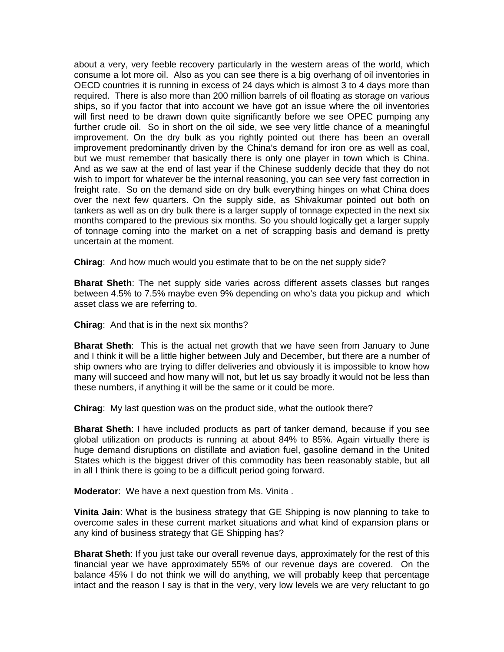about a very, very feeble recovery particularly in the western areas of the world, which consume a lot more oil. Also as you can see there is a big overhang of oil inventories in OECD countries it is running in excess of 24 days which is almost 3 to 4 days more than required. There is also more than 200 million barrels of oil floating as storage on various ships, so if you factor that into account we have got an issue where the oil inventories will first need to be drawn down quite significantly before we see OPEC pumping any further crude oil. So in short on the oil side, we see very little chance of a meaningful improvement. On the dry bulk as you rightly pointed out there has been an overall improvement predominantly driven by the China's demand for iron ore as well as coal, but we must remember that basically there is only one player in town which is China. And as we saw at the end of last year if the Chinese suddenly decide that they do not wish to import for whatever be the internal reasoning, you can see very fast correction in freight rate. So on the demand side on dry bulk everything hinges on what China does over the next few quarters. On the supply side, as Shivakumar pointed out both on tankers as well as on dry bulk there is a larger supply of tonnage expected in the next six months compared to the previous six months. So you should logically get a larger supply of tonnage coming into the market on a net of scrapping basis and demand is pretty uncertain at the moment.

**Chirag**: And how much would you estimate that to be on the net supply side?

**Bharat Sheth**: The net supply side varies across different assets classes but ranges between 4.5% to 7.5% maybe even 9% depending on who's data you pickup and which asset class we are referring to.

**Chirag**: And that is in the next six months?

**Bharat Sheth**: This is the actual net growth that we have seen from January to June and I think it will be a little higher between July and December, but there are a number of ship owners who are trying to differ deliveries and obviously it is impossible to know how many will succeed and how many will not, but let us say broadly it would not be less than these numbers, if anything it will be the same or it could be more.

**Chirag**: My last question was on the product side, what the outlook there?

**Bharat Sheth**: I have included products as part of tanker demand, because if you see global utilization on products is running at about 84% to 85%. Again virtually there is huge demand disruptions on distillate and aviation fuel, gasoline demand in the United States which is the biggest driver of this commodity has been reasonably stable, but all in all I think there is going to be a difficult period going forward.

**Moderator**: We have a next question from Ms. Vinita .

**Vinita Jain**: What is the business strategy that GE Shipping is now planning to take to overcome sales in these current market situations and what kind of expansion plans or any kind of business strategy that GE Shipping has?

**Bharat Sheth**: If you just take our overall revenue days, approximately for the rest of this financial year we have approximately 55% of our revenue days are covered. On the balance 45% I do not think we will do anything, we will probably keep that percentage intact and the reason I say is that in the very, very low levels we are very reluctant to go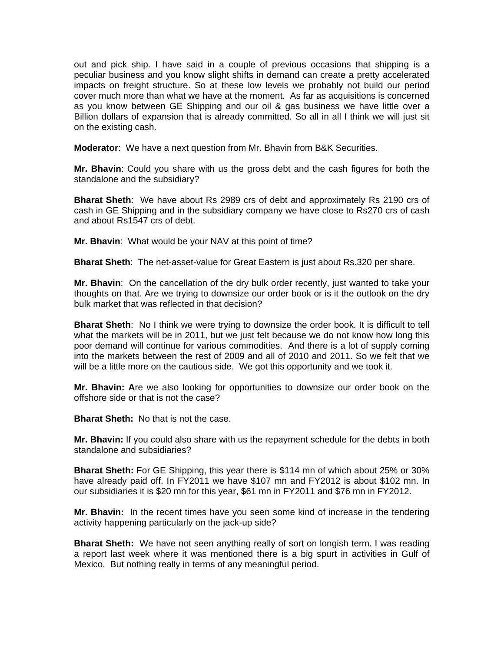out and pick ship. I have said in a couple of previous occasions that shipping is a peculiar business and you know slight shifts in demand can create a pretty accelerated impacts on freight structure. So at these low levels we probably not build our period cover much more than what we have at the moment. As far as acquisitions is concerned as you know between GE Shipping and our oil & gas business we have little over a Billion dollars of expansion that is already committed. So all in all I think we will just sit on the existing cash.

**Moderator**: We have a next question from Mr. Bhavin from B&K Securities.

**Mr. Bhavin**: Could you share with us the gross debt and the cash figures for both the standalone and the subsidiary?

**Bharat Sheth**: We have about Rs 2989 crs of debt and approximately Rs 2190 crs of cash in GE Shipping and in the subsidiary company we have close to Rs270 crs of cash and about Rs1547 crs of debt.

**Mr. Bhavin**: What would be your NAV at this point of time?

**Bharat Sheth**: The net-asset-value for Great Eastern is just about Rs.320 per share.

**Mr. Bhavin**: On the cancellation of the dry bulk order recently, just wanted to take your thoughts on that. Are we trying to downsize our order book or is it the outlook on the dry bulk market that was reflected in that decision?

**Bharat Sheth**: No I think we were trying to downsize the order book. It is difficult to tell what the markets will be in 2011, but we just felt because we do not know how long this poor demand will continue for various commodities. And there is a lot of supply coming into the markets between the rest of 2009 and all of 2010 and 2011. So we felt that we will be a little more on the cautious side. We got this opportunity and we took it.

**Mr. Bhavin: A**re we also looking for opportunities to downsize our order book on the offshore side or that is not the case?

**Bharat Sheth:** No that is not the case.

**Mr. Bhavin:** If you could also share with us the repayment schedule for the debts in both standalone and subsidiaries?

**Bharat Sheth:** For GE Shipping, this year there is \$114 mn of which about 25% or 30% have already paid off. In FY2011 we have \$107 mn and FY2012 is about \$102 mn. In our subsidiaries it is \$20 mn for this year, \$61 mn in FY2011 and \$76 mn in FY2012.

**Mr. Bhavin:** In the recent times have you seen some kind of increase in the tendering activity happening particularly on the jack-up side?

**Bharat Sheth:** We have not seen anything really of sort on longish term. I was reading a report last week where it was mentioned there is a big spurt in activities in Gulf of Mexico. But nothing really in terms of any meaningful period.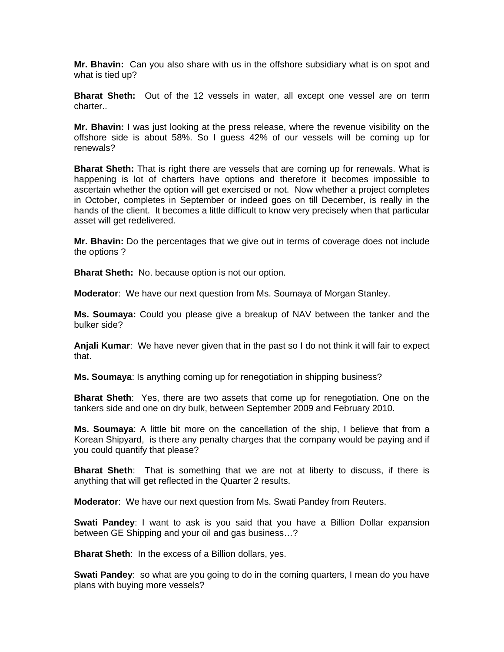**Mr. Bhavin:** Can you also share with us in the offshore subsidiary what is on spot and what is tied up?

**Bharat Sheth:** Out of the 12 vessels in water, all except one vessel are on term charter..

**Mr. Bhavin:** I was just looking at the press release, where the revenue visibility on the offshore side is about 58%. So I guess 42% of our vessels will be coming up for renewals?

**Bharat Sheth:** That is right there are vessels that are coming up for renewals. What is happening is lot of charters have options and therefore it becomes impossible to ascertain whether the option will get exercised or not. Now whether a project completes in October, completes in September or indeed goes on till December, is really in the hands of the client. It becomes a little difficult to know very precisely when that particular asset will get redelivered.

**Mr. Bhavin:** Do the percentages that we give out in terms of coverage does not include the options ?

**Bharat Sheth:** No. because option is not our option.

**Moderator**: We have our next question from Ms. Soumaya of Morgan Stanley.

**Ms. Soumaya:** Could you please give a breakup of NAV between the tanker and the bulker side?

**Anjali Kumar**: We have never given that in the past so I do not think it will fair to expect that.

**Ms. Soumaya**: Is anything coming up for renegotiation in shipping business?

**Bharat Sheth**: Yes, there are two assets that come up for renegotiation. One on the tankers side and one on dry bulk, between September 2009 and February 2010.

**Ms. Soumaya**: A little bit more on the cancellation of the ship, I believe that from a Korean Shipyard, is there any penalty charges that the company would be paying and if you could quantify that please?

**Bharat Sheth**: That is something that we are not at liberty to discuss, if there is anything that will get reflected in the Quarter 2 results.

**Moderator**: We have our next question from Ms. Swati Pandey from Reuters.

**Swati Pandey**: I want to ask is you said that you have a Billion Dollar expansion between GE Shipping and your oil and gas business…?

**Bharat Sheth**: In the excess of a Billion dollars, yes.

**Swati Pandey**: so what are you going to do in the coming quarters, I mean do you have plans with buying more vessels?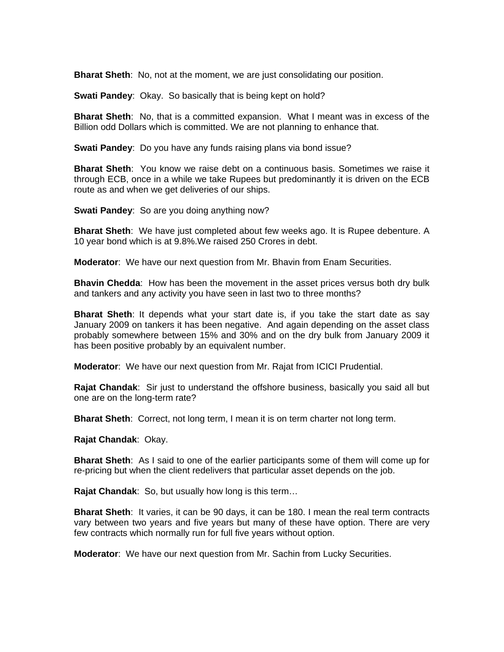**Bharat Sheth**: No, not at the moment, we are just consolidating our position.

**Swati Pandey**: Okay. So basically that is being kept on hold?

**Bharat Sheth**: No, that is a committed expansion. What I meant was in excess of the Billion odd Dollars which is committed. We are not planning to enhance that.

**Swati Pandey**: Do you have any funds raising plans via bond issue?

**Bharat Sheth**: You know we raise debt on a continuous basis. Sometimes we raise it through ECB, once in a while we take Rupees but predominantly it is driven on the ECB route as and when we get deliveries of our ships.

**Swati Pandey**: So are you doing anything now?

**Bharat Sheth**: We have just completed about few weeks ago. It is Rupee debenture. A 10 year bond which is at 9.8%.We raised 250 Crores in debt.

**Moderator**: We have our next question from Mr. Bhavin from Enam Securities.

**Bhavin Chedda**: How has been the movement in the asset prices versus both dry bulk and tankers and any activity you have seen in last two to three months?

**Bharat Sheth**: It depends what your start date is, if you take the start date as say January 2009 on tankers it has been negative. And again depending on the asset class probably somewhere between 15% and 30% and on the dry bulk from January 2009 it has been positive probably by an equivalent number.

**Moderator**: We have our next question from Mr. Rajat from ICICI Prudential.

**Rajat Chandak**: Sir just to understand the offshore business, basically you said all but one are on the long-term rate?

**Bharat Sheth**: Correct, not long term, I mean it is on term charter not long term.

**Rajat Chandak**: Okay.

**Bharat Sheth**: As I said to one of the earlier participants some of them will come up for re-pricing but when the client redelivers that particular asset depends on the job.

**Rajat Chandak**: So, but usually how long is this term…

**Bharat Sheth**: It varies, it can be 90 days, it can be 180. I mean the real term contracts vary between two years and five years but many of these have option. There are very few contracts which normally run for full five years without option.

**Moderator**: We have our next question from Mr. Sachin from Lucky Securities.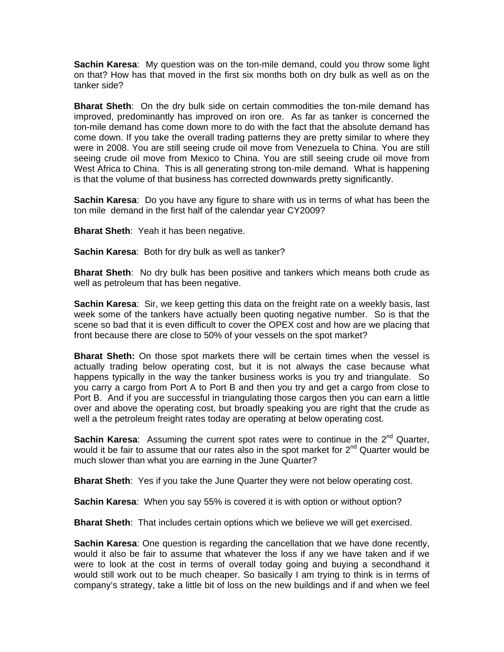**Sachin Karesa**: My question was on the ton-mile demand, could you throw some light on that? How has that moved in the first six months both on dry bulk as well as on the tanker side?

**Bharat Sheth**: On the dry bulk side on certain commodities the ton-mile demand has improved, predominantly has improved on iron ore. As far as tanker is concerned the ton-mile demand has come down more to do with the fact that the absolute demand has come down. If you take the overall trading patterns they are pretty similar to where they were in 2008. You are still seeing crude oil move from Venezuela to China. You are still seeing crude oil move from Mexico to China. You are still seeing crude oil move from West Africa to China. This is all generating strong ton-mile demand. What is happening is that the volume of that business has corrected downwards pretty significantly.

**Sachin Karesa**: Do you have any figure to share with us in terms of what has been the ton mile demand in the first half of the calendar year CY2009?

**Bharat Sheth**: Yeah it has been negative.

**Sachin Karesa**: Both for dry bulk as well as tanker?

**Bharat Sheth**: No dry bulk has been positive and tankers which means both crude as well as petroleum that has been negative.

**Sachin Karesa**: Sir, we keep getting this data on the freight rate on a weekly basis, last week some of the tankers have actually been quoting negative number. So is that the scene so bad that it is even difficult to cover the OPEX cost and how are we placing that front because there are close to 50% of your vessels on the spot market?

**Bharat Sheth:** On those spot markets there will be certain times when the vessel is actually trading below operating cost, but it is not always the case because what happens typically in the way the tanker business works is you try and triangulate. So you carry a cargo from Port A to Port B and then you try and get a cargo from close to Port B. And if you are successful in triangulating those cargos then you can earn a little over and above the operating cost, but broadly speaking you are right that the crude as well a the petroleum freight rates today are operating at below operating cost.

**Sachin Karesa**: Assuming the current spot rates were to continue in the 2<sup>nd</sup> Quarter, would it be fair to assume that our rates also in the spot market for  $2^{nd}$  Quarter would be much slower than what you are earning in the June Quarter?

**Bharat Sheth**: Yes if you take the June Quarter they were not below operating cost.

**Sachin Karesa**: When you say 55% is covered it is with option or without option?

**Bharat Sheth**: That includes certain options which we believe we will get exercised.

**Sachin Karesa**: One question is regarding the cancellation that we have done recently, would it also be fair to assume that whatever the loss if any we have taken and if we were to look at the cost in terms of overall today going and buying a secondhand it would still work out to be much cheaper. So basically I am trying to think is in terms of company's strategy, take a little bit of loss on the new buildings and if and when we feel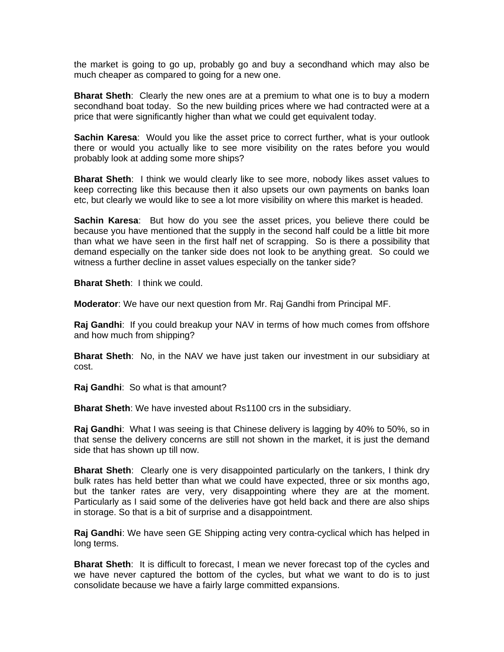the market is going to go up, probably go and buy a secondhand which may also be much cheaper as compared to going for a new one.

**Bharat Sheth**: Clearly the new ones are at a premium to what one is to buy a modern secondhand boat today. So the new building prices where we had contracted were at a price that were significantly higher than what we could get equivalent today.

**Sachin Karesa**: Would you like the asset price to correct further, what is your outlook there or would you actually like to see more visibility on the rates before you would probably look at adding some more ships?

**Bharat Sheth**: I think we would clearly like to see more, nobody likes asset values to keep correcting like this because then it also upsets our own payments on banks loan etc, but clearly we would like to see a lot more visibility on where this market is headed.

**Sachin Karesa**: But how do you see the asset prices, you believe there could be because you have mentioned that the supply in the second half could be a little bit more than what we have seen in the first half net of scrapping. So is there a possibility that demand especially on the tanker side does not look to be anything great. So could we witness a further decline in asset values especially on the tanker side?

**Bharat Sheth**: I think we could.

**Moderator**: We have our next question from Mr. Raj Gandhi from Principal MF.

**Raj Gandhi**: If you could breakup your NAV in terms of how much comes from offshore and how much from shipping?

**Bharat Sheth**: No, in the NAV we have just taken our investment in our subsidiary at cost.

**Raj Gandhi**: So what is that amount?

**Bharat Sheth**: We have invested about Rs1100 crs in the subsidiary.

**Raj Gandhi**: What I was seeing is that Chinese delivery is lagging by 40% to 50%, so in that sense the delivery concerns are still not shown in the market, it is just the demand side that has shown up till now.

**Bharat Sheth**: Clearly one is very disappointed particularly on the tankers, I think dry bulk rates has held better than what we could have expected, three or six months ago, but the tanker rates are very, very disappointing where they are at the moment. Particularly as I said some of the deliveries have got held back and there are also ships in storage. So that is a bit of surprise and a disappointment.

**Raj Gandhi**: We have seen GE Shipping acting very contra-cyclical which has helped in long terms.

**Bharat Sheth**: It is difficult to forecast, I mean we never forecast top of the cycles and we have never captured the bottom of the cycles, but what we want to do is to just consolidate because we have a fairly large committed expansions.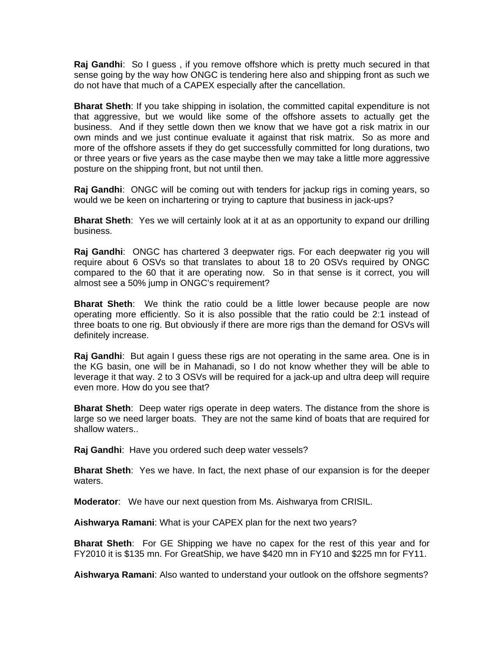**Raj Gandhi**: So I guess , if you remove offshore which is pretty much secured in that sense going by the way how ONGC is tendering here also and shipping front as such we do not have that much of a CAPEX especially after the cancellation.

**Bharat Sheth**: If you take shipping in isolation, the committed capital expenditure is not that aggressive, but we would like some of the offshore assets to actually get the business. And if they settle down then we know that we have got a risk matrix in our own minds and we just continue evaluate it against that risk matrix. So as more and more of the offshore assets if they do get successfully committed for long durations, two or three years or five years as the case maybe then we may take a little more aggressive posture on the shipping front, but not until then.

**Raj Gandhi**: ONGC will be coming out with tenders for jackup rigs in coming years, so would we be keen on inchartering or trying to capture that business in jack-ups?

**Bharat Sheth**: Yes we will certainly look at it at as an opportunity to expand our drilling business.

**Raj Gandhi**: ONGC has chartered 3 deepwater rigs. For each deepwater rig you will require about 6 OSVs so that translates to about 18 to 20 OSVs required by ONGC compared to the 60 that it are operating now. So in that sense is it correct, you will almost see a 50% jump in ONGC's requirement?

**Bharat Sheth**: We think the ratio could be a little lower because people are now operating more efficiently. So it is also possible that the ratio could be 2:1 instead of three boats to one rig. But obviously if there are more rigs than the demand for OSVs will definitely increase.

**Raj Gandhi**: But again I guess these rigs are not operating in the same area. One is in the KG basin, one will be in Mahanadi, so I do not know whether they will be able to leverage it that way. 2 to 3 OSVs will be required for a jack-up and ultra deep will require even more. How do you see that?

**Bharat Sheth**: Deep water rigs operate in deep waters. The distance from the shore is large so we need larger boats. They are not the same kind of boats that are required for shallow waters..

**Raj Gandhi**: Have you ordered such deep water vessels?

**Bharat Sheth**: Yes we have. In fact, the next phase of our expansion is for the deeper waters.

**Moderator**: We have our next question from Ms. Aishwarya from CRISIL.

**Aishwarya Ramani**: What is your CAPEX plan for the next two years?

**Bharat Sheth**: For GE Shipping we have no capex for the rest of this year and for FY2010 it is \$135 mn. For GreatShip, we have \$420 mn in FY10 and \$225 mn for FY11.

**Aishwarya Ramani**: Also wanted to understand your outlook on the offshore segments?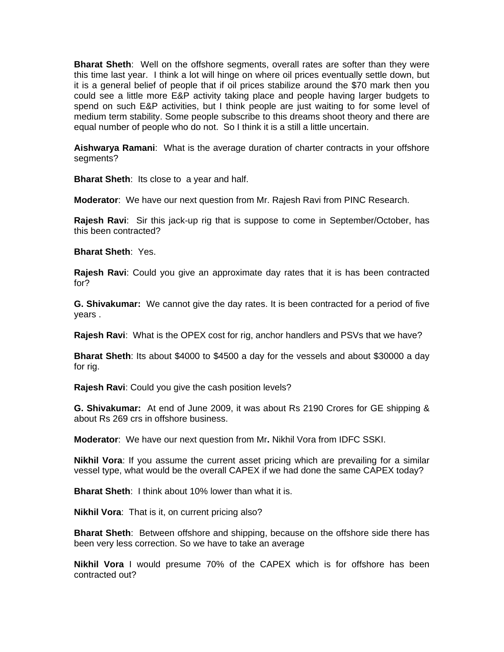**Bharat Sheth**: Well on the offshore segments, overall rates are softer than they were this time last year. I think a lot will hinge on where oil prices eventually settle down, but it is a general belief of people that if oil prices stabilize around the \$70 mark then you could see a little more E&P activity taking place and people having larger budgets to spend on such E&P activities, but I think people are just waiting to for some level of medium term stability. Some people subscribe to this dreams shoot theory and there are equal number of people who do not. So I think it is a still a little uncertain.

**Aishwarya Ramani**: What is the average duration of charter contracts in your offshore segments?

**Bharat Sheth:** Its close to a year and half.

**Moderator**: We have our next question from Mr. Rajesh Ravi from PINC Research.

**Rajesh Ravi**: Sir this jack-up rig that is suppose to come in September/October, has this been contracted?

**Bharat Sheth**: Yes.

**Rajesh Ravi**: Could you give an approximate day rates that it is has been contracted for?

**G. Shivakumar:** We cannot give the day rates. It is been contracted for a period of five years .

**Rajesh Ravi**: What is the OPEX cost for rig, anchor handlers and PSVs that we have?

**Bharat Sheth**: Its about \$4000 to \$4500 a day for the vessels and about \$30000 a day for rig.

**Rajesh Ravi**: Could you give the cash position levels?

**G. Shivakumar:** At end of June 2009, it was about Rs 2190 Crores for GE shipping & about Rs 269 crs in offshore business.

**Moderator**: We have our next question from Mr**.** Nikhil Vora from IDFC SSKI.

**Nikhil Vora**: If you assume the current asset pricing which are prevailing for a similar vessel type, what would be the overall CAPEX if we had done the same CAPEX today?

**Bharat Sheth**: I think about 10% lower than what it is.

**Nikhil Vora**: That is it, on current pricing also?

**Bharat Sheth**: Between offshore and shipping, because on the offshore side there has been very less correction. So we have to take an average

**Nikhil Vora** I would presume 70% of the CAPEX which is for offshore has been contracted out?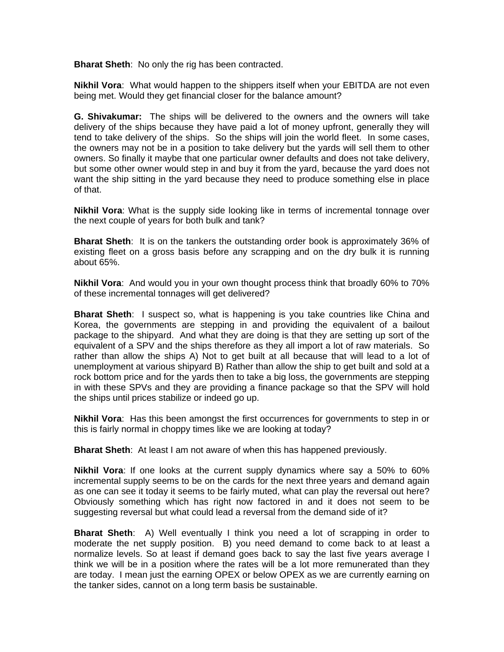**Bharat Sheth**: No only the rig has been contracted.

**Nikhil Vora**: What would happen to the shippers itself when your EBITDA are not even being met. Would they get financial closer for the balance amount?

**G. Shivakumar:** The ships will be delivered to the owners and the owners will take delivery of the ships because they have paid a lot of money upfront, generally they will tend to take delivery of the ships. So the ships will join the world fleet. In some cases, the owners may not be in a position to take delivery but the yards will sell them to other owners. So finally it maybe that one particular owner defaults and does not take delivery, but some other owner would step in and buy it from the yard, because the yard does not want the ship sitting in the yard because they need to produce something else in place of that.

**Nikhil Vora**: What is the supply side looking like in terms of incremental tonnage over the next couple of years for both bulk and tank?

**Bharat Sheth**: It is on the tankers the outstanding order book is approximately 36% of existing fleet on a gross basis before any scrapping and on the dry bulk it is running about 65%.

**Nikhil Vora**: And would you in your own thought process think that broadly 60% to 70% of these incremental tonnages will get delivered?

**Bharat Sheth**: I suspect so, what is happening is you take countries like China and Korea, the governments are stepping in and providing the equivalent of a bailout package to the shipyard. And what they are doing is that they are setting up sort of the equivalent of a SPV and the ships therefore as they all import a lot of raw materials. So rather than allow the ships A) Not to get built at all because that will lead to a lot of unemployment at various shipyard B) Rather than allow the ship to get built and sold at a rock bottom price and for the yards then to take a big loss, the governments are stepping in with these SPVs and they are providing a finance package so that the SPV will hold the ships until prices stabilize or indeed go up.

**Nikhil Vora**: Has this been amongst the first occurrences for governments to step in or this is fairly normal in choppy times like we are looking at today?

**Bharat Sheth**: At least I am not aware of when this has happened previously.

**Nikhil Vora**: If one looks at the current supply dynamics where say a 50% to 60% incremental supply seems to be on the cards for the next three years and demand again as one can see it today it seems to be fairly muted, what can play the reversal out here? Obviously something which has right now factored in and it does not seem to be suggesting reversal but what could lead a reversal from the demand side of it?

**Bharat Sheth**: A) Well eventually I think you need a lot of scrapping in order to moderate the net supply position. B) you need demand to come back to at least a normalize levels. So at least if demand goes back to say the last five years average I think we will be in a position where the rates will be a lot more remunerated than they are today. I mean just the earning OPEX or below OPEX as we are currently earning on the tanker sides, cannot on a long term basis be sustainable.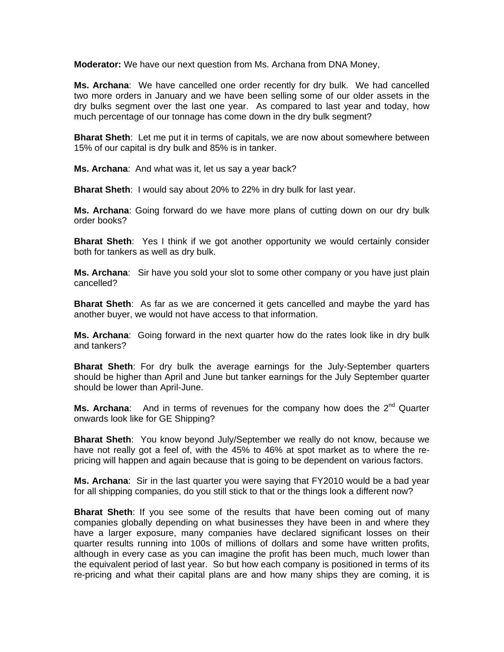**Moderator:** We have our next question from Ms. Archana from DNA Money,

**Ms. Archana**: We have cancelled one order recently for dry bulk. We had cancelled two more orders in January and we have been selling some of our older assets in the dry bulks segment over the last one year. As compared to last year and today, how much percentage of our tonnage has come down in the dry bulk segment?

**Bharat Sheth**: Let me put it in terms of capitals, we are now about somewhere between 15% of our capital is dry bulk and 85% is in tanker.

**Ms. Archana**: And what was it, let us say a year back?

**Bharat Sheth**: I would say about 20% to 22% in dry bulk for last year.

**Ms. Archana**: Going forward do we have more plans of cutting down on our dry bulk order books?

**Bharat Sheth**: Yes I think if we got another opportunity we would certainly consider both for tankers as well as dry bulk.

**Ms. Archana**: Sir have you sold your slot to some other company or you have just plain cancelled?

**Bharat Sheth**: As far as we are concerned it gets cancelled and maybe the yard has another buyer, we would not have access to that information.

**Ms. Archana**: Going forward in the next quarter how do the rates look like in dry bulk and tankers?

**Bharat Sheth**: For dry bulk the average earnings for the July-September quarters should be higher than April and June but tanker earnings for the July September quarter should be lower than April-June.

**Ms. Archana:** And in terms of revenues for the company how does the 2<sup>nd</sup> Quarter onwards look like for GE Shipping?

**Bharat Sheth**: You know beyond July/September we really do not know, because we have not really got a feel of, with the 45% to 46% at spot market as to where the repricing will happen and again because that is going to be dependent on various factors.

**Ms. Archana**: Sir in the last quarter you were saying that FY2010 would be a bad year for all shipping companies, do you still stick to that or the things look a different now?

**Bharat Sheth**: If you see some of the results that have been coming out of many companies globally depending on what businesses they have been in and where they have a larger exposure, many companies have declared significant losses on their quarter results running into 100s of millions of dollars and some have written profits, although in every case as you can imagine the profit has been much, much lower than the equivalent period of last year. So but how each company is positioned in terms of its re-pricing and what their capital plans are and how many ships they are coming, it is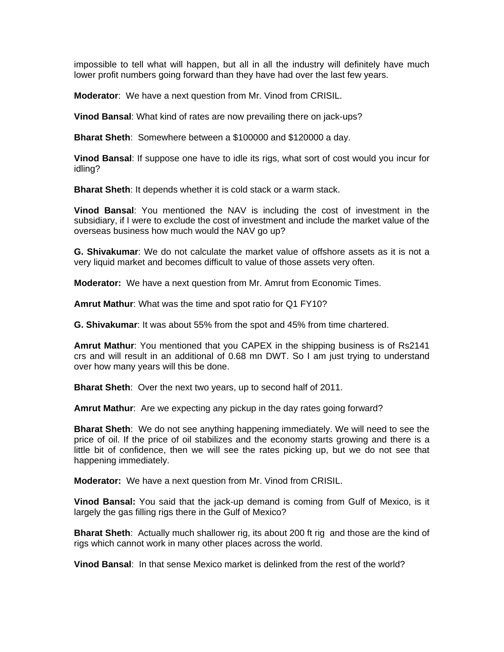impossible to tell what will happen, but all in all the industry will definitely have much lower profit numbers going forward than they have had over the last few years.

**Moderator**: We have a next question from Mr. Vinod from CRISIL.

**Vinod Bansal**: What kind of rates are now prevailing there on jack-ups?

**Bharat Sheth**: Somewhere between a \$100000 and \$120000 a day.

**Vinod Bansal**: If suppose one have to idle its rigs, what sort of cost would you incur for idling?

**Bharat Sheth**: It depends whether it is cold stack or a warm stack.

**Vinod Bansal**: You mentioned the NAV is including the cost of investment in the subsidiary, if I were to exclude the cost of investment and include the market value of the overseas business how much would the NAV go up?

**G. Shivakumar**: We do not calculate the market value of offshore assets as it is not a very liquid market and becomes difficult to value of those assets very often.

**Moderator:** We have a next question from Mr. Amrut from Economic Times.

**Amrut Mathur**: What was the time and spot ratio for Q1 FY10?

**G. Shivakumar**: It was about 55% from the spot and 45% from time chartered.

**Amrut Mathur**: You mentioned that you CAPEX in the shipping business is of Rs2141 crs and will result in an additional of 0.68 mn DWT. So I am just trying to understand over how many years will this be done.

**Bharat Sheth**: Over the next two years, up to second half of 2011.

**Amrut Mathur**: Are we expecting any pickup in the day rates going forward?

**Bharat Sheth**: We do not see anything happening immediately. We will need to see the price of oil. If the price of oil stabilizes and the economy starts growing and there is a little bit of confidence, then we will see the rates picking up, but we do not see that happening immediately.

**Moderator:** We have a next question from Mr. Vinod from CRISIL.

**Vinod Bansal:** You said that the jack-up demand is coming from Gulf of Mexico, is it largely the gas filling rigs there in the Gulf of Mexico?

**Bharat Sheth**: Actually much shallower rig, its about 200 ft rig and those are the kind of rigs which cannot work in many other places across the world.

**Vinod Bansal**: In that sense Mexico market is delinked from the rest of the world?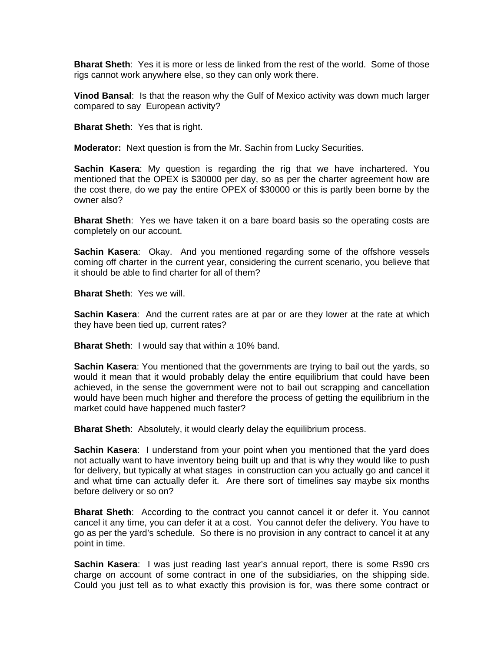**Bharat Sheth**: Yes it is more or less de linked from the rest of the world. Some of those rigs cannot work anywhere else, so they can only work there.

**Vinod Bansal**: Is that the reason why the Gulf of Mexico activity was down much larger compared to say European activity?

**Bharat Sheth**: Yes that is right.

**Moderator:** Next question is from the Mr. Sachin from Lucky Securities.

**Sachin Kasera**: My question is regarding the rig that we have inchartered. You mentioned that the OPEX is \$30000 per day, so as per the charter agreement how are the cost there, do we pay the entire OPEX of \$30000 or this is partly been borne by the owner also?

**Bharat Sheth**: Yes we have taken it on a bare board basis so the operating costs are completely on our account.

**Sachin Kasera**: Okay. And you mentioned regarding some of the offshore vessels coming off charter in the current year, considering the current scenario, you believe that it should be able to find charter for all of them?

**Bharat Sheth**: Yes we will.

**Sachin Kasera**: And the current rates are at par or are they lower at the rate at which they have been tied up, current rates?

**Bharat Sheth**: I would say that within a 10% band.

**Sachin Kasera**: You mentioned that the governments are trying to bail out the yards, so would it mean that it would probably delay the entire equilibrium that could have been achieved, in the sense the government were not to bail out scrapping and cancellation would have been much higher and therefore the process of getting the equilibrium in the market could have happened much faster?

**Bharat Sheth:** Absolutely, it would clearly delay the equilibrium process.

**Sachin Kasera**: I understand from your point when you mentioned that the yard does not actually want to have inventory being built up and that is why they would like to push for delivery, but typically at what stages in construction can you actually go and cancel it and what time can actually defer it. Are there sort of timelines say maybe six months before delivery or so on?

**Bharat Sheth**: According to the contract you cannot cancel it or defer it. You cannot cancel it any time, you can defer it at a cost. You cannot defer the delivery. You have to go as per the yard's schedule. So there is no provision in any contract to cancel it at any point in time.

**Sachin Kasera**: I was just reading last year's annual report, there is some Rs90 crs charge on account of some contract in one of the subsidiaries, on the shipping side. Could you just tell as to what exactly this provision is for, was there some contract or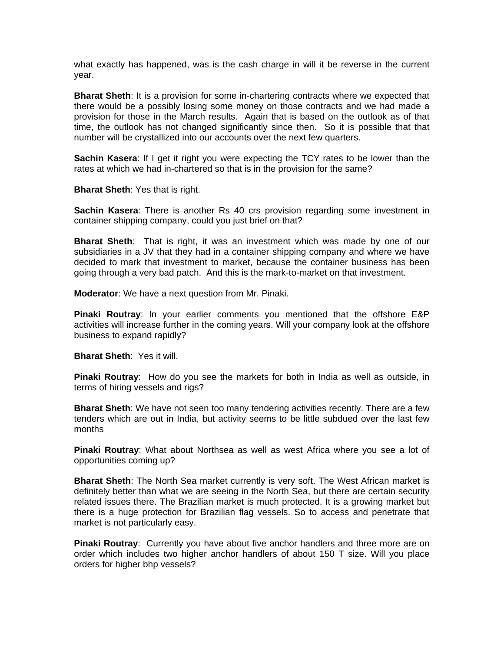what exactly has happened, was is the cash charge in will it be reverse in the current year.

**Bharat Sheth**: It is a provision for some in-chartering contracts where we expected that there would be a possibly losing some money on those contracts and we had made a provision for those in the March results. Again that is based on the outlook as of that time, the outlook has not changed significantly since then. So it is possible that that number will be crystallized into our accounts over the next few quarters.

**Sachin Kasera**: If I get it right you were expecting the TCY rates to be lower than the rates at which we had in-chartered so that is in the provision for the same?

**Bharat Sheth**: Yes that is right.

**Sachin Kasera**: There is another Rs 40 crs provision regarding some investment in container shipping company, could you just brief on that?

**Bharat Sheth**: That is right, it was an investment which was made by one of our subsidiaries in a JV that they had in a container shipping company and where we have decided to mark that investment to market, because the container business has been going through a very bad patch. And this is the mark-to-market on that investment.

**Moderator**: We have a next question from Mr. Pinaki.

**Pinaki Routray**: In your earlier comments you mentioned that the offshore E&P activities will increase further in the coming years. Will your company look at the offshore business to expand rapidly?

**Bharat Sheth**: Yes it will.

**Pinaki Routray**: How do you see the markets for both in India as well as outside, in terms of hiring vessels and rigs?

**Bharat Sheth**: We have not seen too many tendering activities recently. There are a few tenders which are out in India, but activity seems to be little subdued over the last few months

**Pinaki Routray**: What about Northsea as well as west Africa where you see a lot of opportunities coming up?

**Bharat Sheth**: The North Sea market currently is very soft. The West African market is definitely better than what we are seeing in the North Sea, but there are certain security related issues there. The Brazilian market is much protected. It is a growing market but there is a huge protection for Brazilian flag vessels. So to access and penetrate that market is not particularly easy.

**Pinaki Routray**: Currently you have about five anchor handlers and three more are on order which includes two higher anchor handlers of about 150 T size. Will you place orders for higher bhp vessels?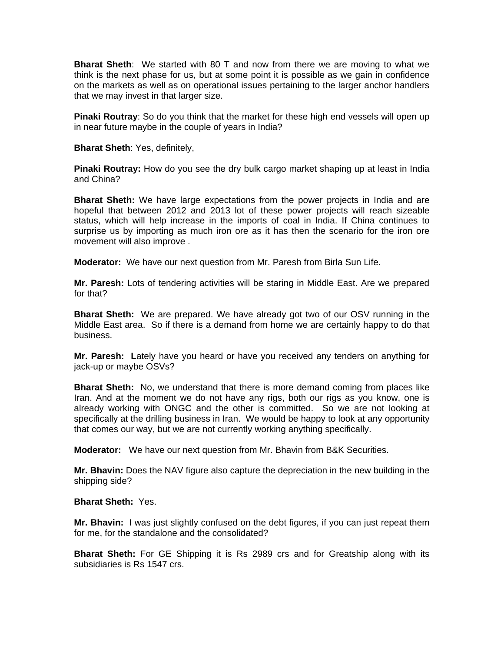**Bharat Sheth**: We started with 80 T and now from there we are moving to what we think is the next phase for us, but at some point it is possible as we gain in confidence on the markets as well as on operational issues pertaining to the larger anchor handlers that we may invest in that larger size.

**Pinaki Routray**: So do you think that the market for these high end vessels will open up in near future maybe in the couple of years in India?

**Bharat Sheth**: Yes, definitely,

**Pinaki Routray:** How do you see the dry bulk cargo market shaping up at least in India and China?

**Bharat Sheth:** We have large expectations from the power projects in India and are hopeful that between 2012 and 2013 lot of these power projects will reach sizeable status, which will help increase in the imports of coal in India. If China continues to surprise us by importing as much iron ore as it has then the scenario for the iron ore movement will also improve .

**Moderator:** We have our next question from Mr. Paresh from Birla Sun Life.

**Mr. Paresh:** Lots of tendering activities will be staring in Middle East. Are we prepared for that?

**Bharat Sheth:** We are prepared. We have already got two of our OSV running in the Middle East area. So if there is a demand from home we are certainly happy to do that business.

**Mr. Paresh: L**ately have you heard or have you received any tenders on anything for jack-up or maybe OSVs?

**Bharat Sheth:** No, we understand that there is more demand coming from places like Iran. And at the moment we do not have any rigs, both our rigs as you know, one is already working with ONGC and the other is committed. So we are not looking at specifically at the drilling business in Iran. We would be happy to look at any opportunity that comes our way, but we are not currently working anything specifically.

**Moderator:** We have our next question from Mr. Bhavin from B&K Securities.

**Mr. Bhavin:** Does the NAV figure also capture the depreciation in the new building in the shipping side?

**Bharat Sheth:** Yes.

**Mr. Bhavin:** I was just slightly confused on the debt figures, if you can just repeat them for me, for the standalone and the consolidated?

**Bharat Sheth:** For GE Shipping it is Rs 2989 crs and for Greatship along with its subsidiaries is Rs 1547 crs.